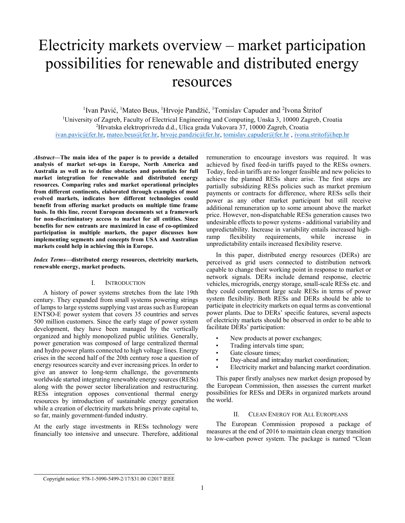# Electricity markets overview – market participation possibilities for renewable and distributed energy resources

<sup>1</sup>Ivan Pavić, <sup>1</sup>Mateo Beus, <sup>1</sup>Hrvoje Pandžić, <sup>1</sup>Tomislav Capuder and <sup>2</sup>Ivona Štritof <sup>1</sup>University of Zagreb, Faculty of Electrical Engineering and Computing, Unska 3, 10000 Zagreb, Croatia <sup>2</sup>Hrvatska elektroprivreda d.d. Ulica grada Vukovara 37, 10000 Zagreb, Croatia <sup>2</sup>Hrvatska elektroprivreda d.d., Ulica grada Vukovara 37, 10000 Zagreb, Croatia ivan.pavic@fer.hr, mateo.beus@fer.hr, hrvoje.pandzic@fer.hr, tomislav.capuder@fer.hr , ivona.stritof@hep.hr

*Abstract***—The main idea of the paper is to provide a detailed analysis of market set-ups in Europe, North America and Australia as well as to define obstacles and potentials for full market integration for renewable and distributed energy resources. Comparing rules and market operational principles from different continents, elaborated through examples of most evolved markets, indicates how different technologies could benefit from offering market products on multiple time frame basis. In this line, recent European documents set a framework for non-discriminatory access to market for all entities. Since benefits for new entrants are maximized in case of co-optimized participation in multiple markets, the paper discusses how implementing segments and concepts from USA and Australian markets could help in achieving this in Europe.** 

*Index Terms***—distributed energy resources, electricity markets, renewable energy, market products.** 

# I. INTRODUCTION

A history of power systems stretches from the late 19th century. They expanded from small systems powering strings of lamps to large systems supplying vast areas such as European ENTSO-E power system that covers 35 countries and serves 500 million customers. Since the early stage of power system development, they have been managed by the vertically organized and highly monopolized public utilities. Generally, power generation was composed of large centralized thermal and hydro power plants connected to high voltage lines. Energy crises in the second half of the 20th century rose a question of energy resources scarcity and ever increasing prices. In order to give an answer to long-term challenge, the governments worldwide started integrating renewable energy sources (RESs) along with the power sector liberalization and restructuring. RESs integration opposes conventional thermal energy resources by introduction of sustainable energy generation while a creation of electricity markets brings private capital to, so far, mainly government-funded industry.

At the early stage investments in RESs technology were financially too intensive and unsecure. Therefore, additional remuneration to encourage investors was required. It was achieved by fixed feed-in tariffs payed to the RESs owners. Today, feed-in tariffs are no longer feasible and new policies to achieve the planned RESs share arise. The first steps are partially subsidizing RESs policies such as market premium payments or contracts for difference, where RESs sells their power as any other market participant but still receive additional remuneration up to some amount above the market price. However, non-dispatchable RESs generation causes two undesirable effects to power systems - additional variability and unpredictability. Increase in variability entails increased highramp flexibility requirements, while increase in unpredictability entails increased flexibility reserve.

In this paper, distributed energy resources (DERs) are perceived as grid users connected to distribution network capable to change their working point in response to market or network signals. DERs include demand response, electric vehicles, microgrids, energy storage, small-scale RESs etc. and they could complement large scale RESs in terms of power system flexibility. Both RESs and DERs should be able to participate in electricity markets on equal terms as conventional power plants. Due to DERs' specific features, several aspects of electricity markets should be observed in order to be able to facilitate DERs' participation:

- New products at power exchanges;
- Trading intervals time span;
- Gate closure times;
- Day-ahead and intraday market coordination;
- Electricity market and balancing market coordination.

This paper firstly analyses new market design proposed by the European Commission, then assesses the current market possibilities for RESs and DERs in organized markets around the world.

# II. CLEAN ENERGY FOR ALL EUROPEANS

The European Commission proposed a package of measures at the end of 2016 to maintain clean energy transition to low-carbon power system. The package is named "Clean

Copyright notice: 978-1-5090-5499-2/17/\$31.00 ©2017 IEEE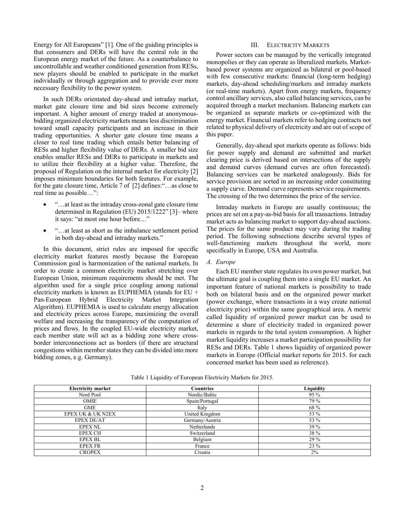Energy for All Europeans" [1]. One of the guiding principles is that consumers and DERs will have the central role in the European energy market of the future. As a counterbalance to uncontrollable and weather conditioned generation from RESs, new players should be enabled to participate in the market individually or through aggregation and to provide ever more necessary flexibility to the power system.

In such DERs orientated day-ahead and intraday market, market gate closure time and bid sizes become extremely important. A higher amount of energy traded at anonymousbidding organized electricity markets means less discrimination toward small capacity participants and an increase in their trading opportunities. A shorter gate closure time means a closer to real time trading which entails better balancing of RESs and higher flexibility value of DERs. A smaller bid size enables smaller RESs and DERs to participate in markets and to utilize their flexibility at a higher value. Therefore, the proposal of Regulation on the internal market for electricity [2] imposes minimum boundaries for both features. For example, for the gate closure time, Article 7 of [2] defines:"…as close to real time as possible…":

- "…at least as the intraday cross-zonal gate closure time determined in Regulation (EU) 2015/1222" [3]– where it says: "at most one hour before…"
- "…at least as short as the imbalance settlement period in both day-ahead and intraday markets."

In this document, strict rules are imposed for specific electricity market features mostly because the European Commission goal is harmonization of the national markets. In order to create a common electricity market stretching over European Union, minimum requirements should be met. The algorithm used for a single price coupling among national electricity markets is known as EUPHEMIA (stands for EU + Pan-European Hybrid Electricity Market Integration Algorithm). EUPHEMIA is used to calculate energy allocation and electricity prices across Europe, maximizing the overall welfare and increasing the transparency of the computation of prices and flows. In the coupled EU-wide electricity market, each member state will act as a bidding zone where crossborder interconnections act as borders (if there are structural congestions within member states they can be divided into more bidding zones, e.g. Germany).

## III. ELECTRICITY MARKETS

Power sectors can be managed by the vertically integrated monopolies or they can operate as liberalized markets. Marketbased power systems are organized as bilateral or pool-based with few consecutive markets: financial (long-term hedging) markets, day-ahead scheduling/markets and intraday markets (or real-time markets). Apart from energy markets, frequency control ancillary services, also called balancing services, can be acquired through a market mechanism. Balancing markets can be organized as separate markets or co-optimized with the energy market. Financial markets refer to hedging contracts not related to physical delivery of electricity and are out of scope of this paper.

Generally, day-ahead spot markets operate as follows: bids for power supply and demand are submitted and market clearing price is derived based on intersections of the supply and demand curves (demand curves are often forecasted). Balancing services can be marketed analogously. Bids for service provision are sorted in an increasing order constituting a supply curve. Demand curve represents service requirements. The crossing of the two determines the price of the service.

Intraday markets in Europe are usually continuous; the prices are set on a pay-as-bid basis for all transactions. Intraday market acts as balancing market to support day-ahead auctions. The prices for the same product may vary during the trading period. The following subsections describe several types of well-functioning markets throughout the world, more specifically in Europe, USA and Australia.

# *A. Europe*

Each EU member state regulates its own power market, but the ultimate goal is coupling them into a single EU market. An important feature of national markets is possibility to trade both on bilateral basis and on the organized power market (power exchange, where transactions in a way create national electricity price) within the same geographical area. A metric called liquidity of organized power market can be used to determine a share of electricity traded in organized power markets in regards to the total system consumption. A higher market liquidity increases a market participation possibility for RESs and DERs. Table 1 shows liquidity of organized power markets in Europe (Official market reports for 2015. for each concerned market has been used as reference).

| <b>Electricity market</b> | Countries       | Liquidity |
|---------------------------|-----------------|-----------|
| Nord Pool                 | Nordic/Baltic   | 95 %      |
| OMIE                      | Spain/Portugal  | 79 %      |
| <b>GME</b>                | Italy           | 68 %      |
| EPEX UK & UK N2EX         | United Kingdom  | 53 %      |
| <b>EPEX DE/AT</b>         | Germany/Austria | 53 %      |
| <b>EPEX NL</b>            | Netherlands     | 39 %      |
| <b>EPEX CH</b>            | Switzerland     | 38 %      |
| <b>EPEX BL</b>            | Belgium         | 29 %      |
| <b>EPEX FR</b>            | France          | 23 %      |
| <b>CROPEX</b>             | Croatia         | 2%        |

Table 1 Liquidity of European Electricity Markets for 2015.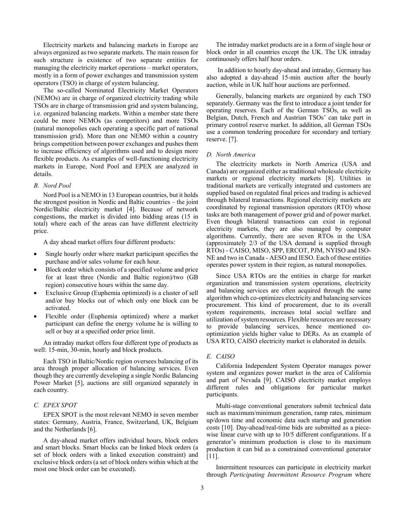Electricity markets and balancing markets in Europe are always organized as two separate markets. The main reason for such structure is existence of two separate entities for managing the electricity market operations – market operators, mostly in a form of power exchanges and transmission system operators (TSO) in charge of system balancing.

The so-called Nominated Electricity Market Operators (NEMOs) are in charge of organized electricity trading while TSOs are in charge of transmission grid and system balancing, i.e. organized balancing markets. Within a member state there could be more NEMOs (as competitors) and more TSOs (natural monopolies each operating a specific part of national transmission grid). More than one NEMO within a country brings competition between power exchanges and pushes them to increase efficiency of algorithms used and to design more flexible products. As examples of well-functioning electricity markets in Europe, Nord Pool and EPEX are analyzed in details.

# *B. Nord Pool*

Nord Pool is a NEMO in 13 European countries, but it holds the strongest position in Nordic and Baltic countries – the joint Nordic/Baltic electricity market [4]. Because of network congestions, the market is divided into bidding areas (15 in total) where each of the areas can have different electricity price.

A day ahead market offers four different products:

- Single hourly order where market participant specifies the purchase and/or sales volume for each hour.
- Block order which consists of a specified volume and price for at least three (Nordic and Baltic region)/two (GB region) consecutive hours within the same day.
- Exclusive Group (Euphemia optimized) is a cluster of sell and/or buy blocks out of which only one block can be activated.
- Flexible order (Euphemia optimized) where a market participant can define the energy volume he is willing to sell or buy at a specified order price limit.

An intraday market offers four different type of products as well: 15-min, 30-min, hourly and block products.

Each TSO in Baltic/Nordic region oversees balancing of its area through proper allocation of balancing services. Even though they are currently developing a single Nordic Balancing Power Market [5], auctions are still organized separately in each country.

## *C. EPEX SPOT*

EPEX SPOT is the most relevant NEMO in seven member states: Germany, Austria, France, Switzerland, UK, Belgium and the Netherlands [6].

A day-ahead market offers individual hours, block orders and smart blocks. Smart blocks can be linked block orders (a set of block orders with a linked execution constraint) and exclusive block orders (a set of block orders within which at the most one block order can be executed).

The intraday market products are in a form of single hour or block order in all countries except the UK. The UK intraday continuously offers half hour orders.

 In addition to hourly day-ahead and intraday, Germany has also adopted a day-ahead 15-min auction after the hourly auction, while in UK half hour auctions are performed.

Generally, balancing markets are organized by each TSO separately. Germany was the first to introduce a joint tender for operating reserves. Each of the German TSOs, as well as Belgian, Dutch, French and Austrian TSOs' can take part in primary control reserve market. In addition, all German TSOs use a common tendering procedure for secondary and tertiary reserve. [7].

#### *D. North America*

The electricity markets in North America (USA and Canada) are organized either as traditional wholesale electricity markets or regional electricity markets [8]. Utilities in traditional markets are vertically integrated and customers are supplied based on regulated final prices and trading is achieved through bilateral transactions. Regional electricity markets are coordinated by regional transmission operators (RTO) whose tasks are both management of power grid and of power market. Even though bilateral transactions can exist in regional electricity markets, they are also managed by computer algorithms. Currently, there are seven RTOs in the USA (approximately 2/3 of the USA demand is supplied through RTOs) - CAISO, MISO, SPP, ERCOT, PJM, NYISO and ISO-NE and two in Canada - AESO and IESO. Each of these entities operates power system in their region, as natural monopolies.

Since USA RTOs are the entities in charge for market organization and transmission system operations, electricity and balancing services are often acquired through the same algorithm which co-optimizes electricity and balancing services procurement. This kind of procurement, due to its overall system requirements, increases total social welfare and utilization of system resources. Flexible resources are necessary to provide balancing services, hence mentioned cooptimization yields higher value to DERs. As an example of USA RTO, CAISO electricity market is elaborated in details.

# *E. CAISO*

California Independent System Operator manages power system and organizes power market in the area of California and part of Nevada [9]. CAISO electricity market employs different rules and obligations for particular market participants.

Multi-stage conventional generators submit technical data such as maximum/minimum generation, ramp rates, minimum up/down time and economic data such startup and generation costs [10]. Day-ahead/real-time bids are submitted as a piecewise linear curve with up to 10/5 different configurations. If a generator's minimum production is close to its maximum production it can bid as a constrained conventional generator [11].

Intermittent resources can participate in electricity market through *Participating Intermittent Resource Program* where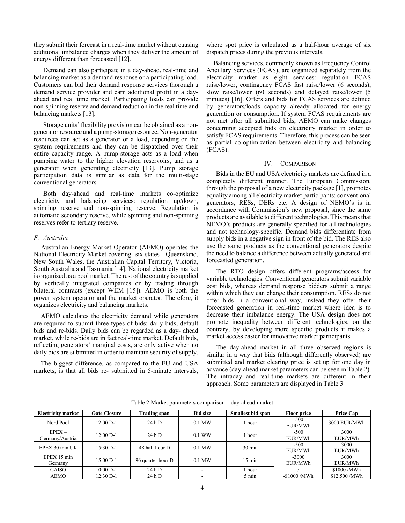they submit their forecast in a real-time market without causing additional imbalance charges when they deliver the amount of energy different than forecasted [12].

Demand can also participate in a day-ahead, real-time and balancing market as a demand response or a participating load. Customers can bid their demand response services thorough a demand service provider and earn additional profit in a dayahead and real time market. Participating loads can provide non-spinning reserve and demand reduction in the real time and balancing markets [13].

Storage units' flexibility provision can be obtained as a nongenerator resource and a pump-storage resource. Non-generator resources can act as a generator or a load, depending on the system requirements and they can be dispatched over their entire capacity range. A pump-storage acts as a load when pumping water to the higher elevation reservoirs, and as a generator when generating electricity [13]. Pump storage participation data is similar as data for the multi-stage conventional generators.

Both day-ahead and real-time markets co-optimize electricity and balancing services: regulation up/down, spinning reserve and non-spinning reserve. Regulation is automatic secondary reserve, while spinning and non-spinning reserves refer to tertiary reserve.

# *F. Australia*

Australian Energy Market Operator (AEMO) operates the National Electricity Market covering six states - Queensland, New South Wales, the Australian Capital Territory, Victoria, South Australia and Tasmania [14]. National electricity market is organized as a pool market. The rest of the country is supplied by vertically integrated companies or by trading through bilateral contracts (except WEM [15]). AEMO is both the power system operator and the market operator. Therefore, it organizes electricity and balancing markets.

AEMO calculates the electricity demand while generators are required to submit three types of bids: daily bids, default bids and re-bids. Daily bids can be regarded as a day- ahead market, while re-bids are in fact real-time market. Default bids, reflecting generators' marginal costs, are only active when no daily bids are submitted in order to maintain security of supply.

The biggest difference, as compared to the EU and USA markets, is that all bids re- submitted in 5-minute intervals,

where spot price is calculated as a half-hour average of six dispatch prices during the previous intervals.

Balancing services, commonly known as Frequency Control Ancillary Services (FCAS), are organized separately from the electricity market as eight services: regulation FCAS raise/lower, contingency FCAS fast raise/lower (6 seconds), slow raise/lower (60 seconds) and delayed raise/lower (5 minutes) [16]. Offers and bids for FCAS services are defined by generators/loads capacity already allocated for energy generation or consumption. If system FCAS requirements are not met after all submitted bids, AEMO can make changes concerning accepted bids on electricity market in order to satisfy FCAS requirements. Therefore, this process can be seen as partial co-optimization between electricity and balancing (FCAS).

## IV. COMPARISON

Bids in the EU and USA electricity markets are defined in a completely different manner. The European Commission, through the proposal of a new electricity package [1], promotes equality among all electricity market participants: conventional generators, RESs, DERs etc. A design of NEMO's is in accordance with Commission's new proposal, since the same products are available to different technologies. This means that NEMO's products are generally specified for all technologies and not technology-specific. Demand bids differentiate from supply bids in a negative sign in front of the bid. The RES also use the same products as the conventional generators despite the need to balance a difference between actually generated and forecasted generation.

The RTO design offers different programs/access for variable technologies. Conventional generators submit variable cost bids, whereas demand response bidders submit a range within which they can change their consumption. RESs do not offer bids in a conventional way, instead they offer their forecasted generation in real-time market where idea is to decrease their imbalance energy. The USA design does not promote inequality between different technologies, on the contrary, by developing more specific products it makes a market access easier for innovative market participants.

The day-ahead market in all three observed regions is similar in a way that bids (although differently observed) are submitted and market clearing price is set up for one day in advance (day-ahead market parameters can be seen in Table 2). The intraday and real-time markets are different in their approach. Some parameters are displayed in Table 3

| <b>Electricity market</b>   | <b>Gate Closure</b> | <b>Trading span</b> | <b>Bid size</b> | Smallest bid span | <b>Floor price</b> | <b>Price Cap</b> |
|-----------------------------|---------------------|---------------------|-----------------|-------------------|--------------------|------------------|
| Nord Pool                   | $12:00$ D-1         | 24 h D              | $0.1$ MW        | l hour            | $-500$<br>EUR/MWh  | 3000 EUR/MWh     |
| $EPEX -$<br>Germany/Austria | $12:00$ D-1         | 24 h D              | $0.1$ WW        | hour              | $-500$<br>EUR/MWh  | 3000<br>EUR/MWh  |
| EPEX 30 min UK              | $15:30$ D-1         | 48 half hour D      | $0.1$ MW        | $30 \text{ min}$  | $-500$<br>EUR/MWh  | 3000<br>EUR/MWh  |
| EPEX 15 min<br>Germany      | $15:00$ D-1         | 96 quarter hour D   | $0.1$ MW        | $15 \text{ min}$  | $-3000$<br>EUR/MWh | 3000<br>EUR/MWh  |
| <b>CAISO</b>                | $10:00$ D-1         | 24 h D              |                 | hour              |                    | \$1000 /MWh      |
| <b>AEMO</b>                 | $12:30$ D-1         | 24 h D              |                 | 5 min             | $-$1000/MWh$       | \$12,500 / MWh   |

Table 2 Market parameters comparison – day-ahead market